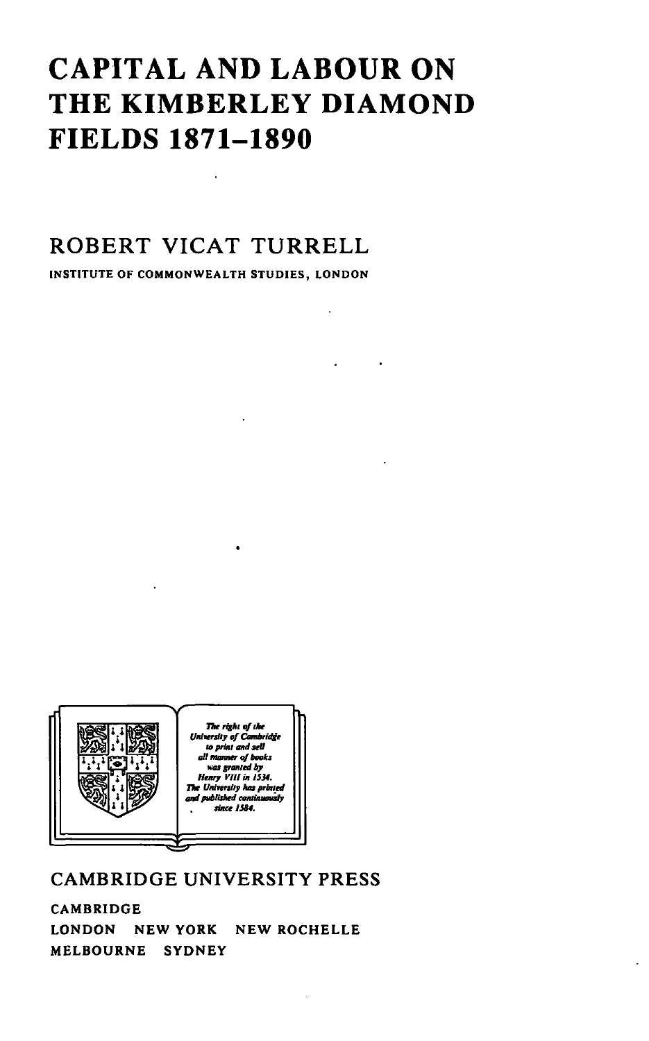## **CAPITAL AND LABOUR ON THE KIMBERLEY DIAMOND FIELDS 1871-1890**

### **ROBERT VICAT TURRELL**

INSTITUTE OF COMMONWEALTH STUDIES, LONDON



### CAMBRIDGE UNIVERSITY PRESS

CAMBRIDGE LONDON NEW YORK NEW ROCHELLE MELBOURNE SYDNEY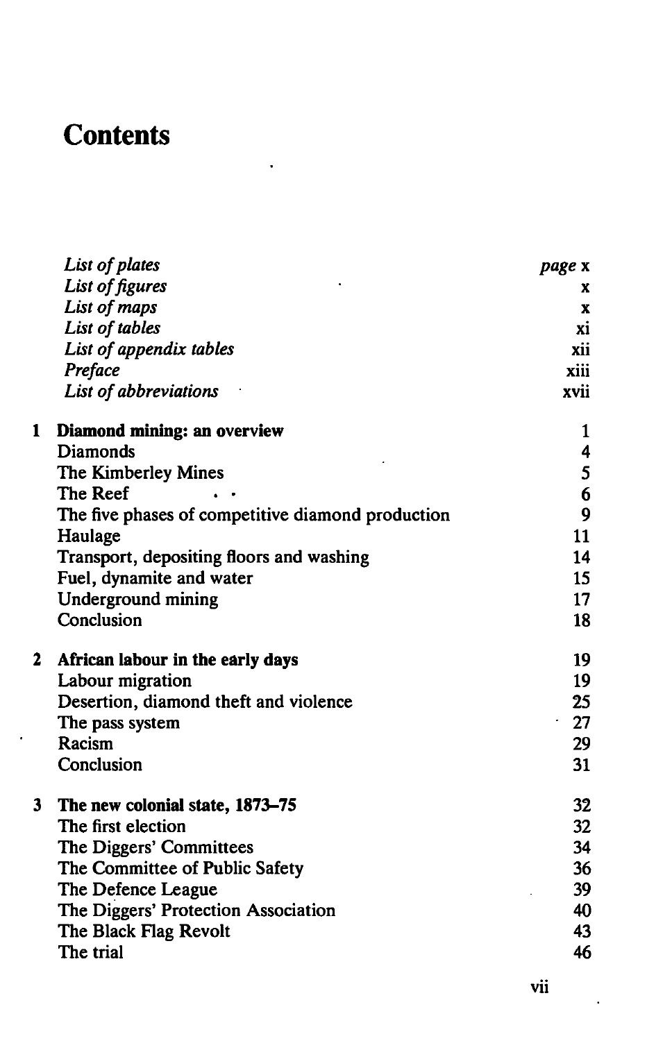# **Contents**

 $\ddot{\phantom{0}}$ 

|   | List of plates                                    | page x           |
|---|---------------------------------------------------|------------------|
|   | List of figures                                   | x                |
|   | List of maps                                      | x                |
|   | List of tables                                    | xi               |
|   | List of appendix tables                           | xii              |
|   | Preface                                           | xiii             |
|   | List of abbreviations                             | xvii             |
| 1 | Diamond mining: an overview                       | 1                |
|   | Diamonds                                          | 4                |
|   | The Kimberley Mines                               | 5                |
|   | The Reef                                          | 6                |
|   | The five phases of competitive diamond production | $\boldsymbol{9}$ |
|   | Haulage                                           | 11               |
|   | Transport, depositing floors and washing          | 14               |
|   | Fuel, dynamite and water                          | 15               |
|   | Underground mining                                | 17               |
|   | Conclusion                                        | 18               |
| 2 | African labour in the early days                  | 19               |
|   | Labour migration                                  | 19               |
|   | Desertion, diamond theft and violence             | 25               |
|   | The pass system                                   | 27<br>$\sim$     |
|   | Racism                                            | 29               |
|   | Conclusion                                        | 31               |
| 3 | The new colonial state, 1873-75                   | 32               |
|   | The first election                                | 32 <sub>2</sub>  |
|   | The Diggers' Committees                           | 34               |
|   | The Committee of Public Safety                    | 36               |
|   | The Defence League                                | 39               |
|   | The Diggers' Protection Association               | 40               |
|   | The Black Flag Revolt                             | 43               |
|   | The trial                                         | 46               |

 $\ddot{\phantom{0}}$ 

ä,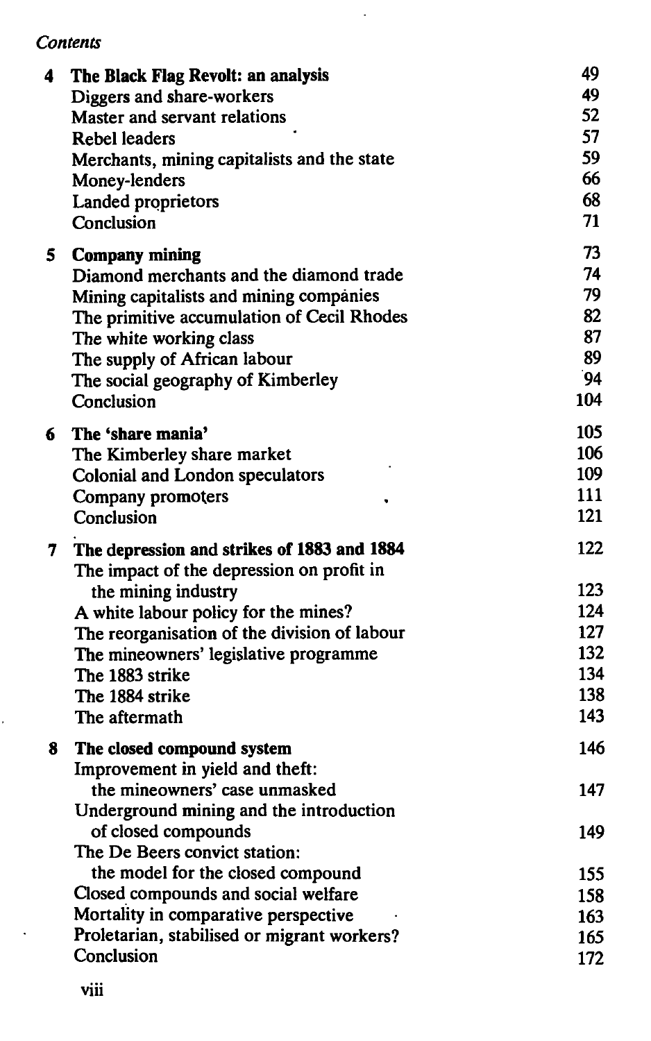#### *Contents*

| 4              | The Black Flag Revolt: an analysis           | 49  |
|----------------|----------------------------------------------|-----|
|                | Diggers and share-workers                    | 49  |
|                | Master and servant relations                 | 52  |
|                | <b>Rebel leaders</b>                         | 57  |
|                | Merchants, mining capitalists and the state  | 59  |
|                | Money-lenders                                | 66  |
|                | Landed proprietors                           | 68  |
|                | Conclusion                                   | 71  |
| 5.             | <b>Company mining</b>                        | 73  |
|                | Diamond merchants and the diamond trade      | 74  |
|                | Mining capitalists and mining companies      | 79  |
|                | The primitive accumulation of Cecil Rhodes   | 82  |
|                | The white working class                      | 87  |
|                | The supply of African labour                 | 89  |
|                | The social geography of Kimberley            | 94  |
|                | Conclusion                                   | 104 |
| 6              | The 'share mania'                            | 105 |
|                | The Kimberley share market                   | 106 |
|                | Colonial and London speculators              | 109 |
|                | Company promoters                            | 111 |
|                | Conclusion                                   | 121 |
| 7 <sup>7</sup> | The depression and strikes of 1883 and 1884  | 122 |
|                | The impact of the depression on profit in    |     |
|                | the mining industry                          | 123 |
|                | A white labour policy for the mines?         | 124 |
|                | The reorganisation of the division of labour | 127 |
|                | The mineowners' legislative programme        | 132 |
|                | The 1883 strike                              | 134 |
|                | The 1884 strike                              | 138 |
|                | The aftermath                                | 143 |
| 8              | The closed compound system                   | 146 |
|                | Improvement in yield and theft:              |     |
|                | the mineowners' case unmasked                | 147 |
|                | Underground mining and the introduction      |     |
|                | of closed compounds                          | 149 |
|                | The De Beers convict station:                |     |
|                | the model for the closed compound            | 155 |
|                | Closed compounds and social welfare          | 158 |
|                | Mortality in comparative perspective         | 163 |
|                | Proletarian, stabilised or migrant workers?  | 165 |
|                | Conclusion                                   | 172 |

 $\ddot{\phantom{a}}$ 

k,

 $\Box$